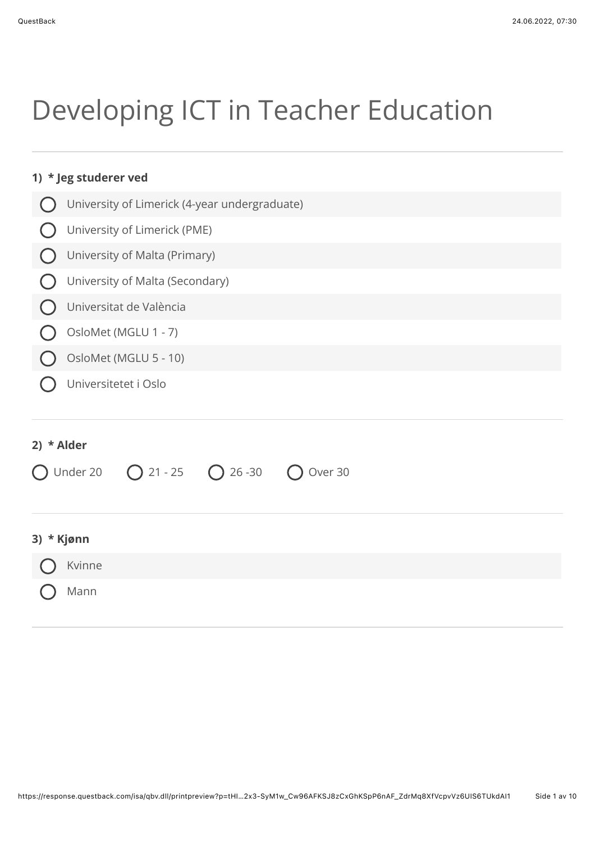# Developing ICT in Teacher Education

|              | 1) * Jeg studerer ved                                  |
|--------------|--------------------------------------------------------|
|              | University of Limerick (4-year undergraduate)          |
|              | University of Limerick (PME)                           |
|              | University of Malta (Primary)                          |
|              | University of Malta (Secondary)                        |
|              | Universitat de València                                |
|              | OsloMet (MGLU 1 - 7)                                   |
|              | OsloMet (MGLU 5 - 10)                                  |
|              | Universitetet i Oslo                                   |
| 2) $*$ Alder | Under 20<br>$O$ 21 - 25<br>$\bigcap$ 26 -30<br>Over 30 |
| 3) * Kjønn   |                                                        |
|              | Kvinne                                                 |
|              | Mann                                                   |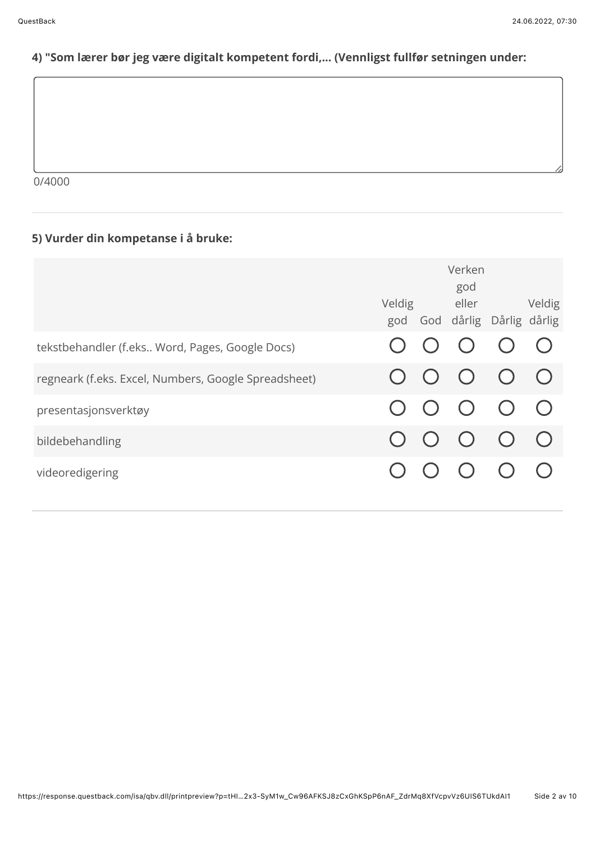# 4) "Som lærer bør jeg være digitalt kompetent fordi,... (Vennligst fullfør setningen under:

 $0/4000$ 

## 5) Vurder din kompetanse i å bruke:

|                                                      |  | Verken<br>god<br>Veldig eller<br>god God dårlig Dårlig dårlig |            | Veldig     |
|------------------------------------------------------|--|---------------------------------------------------------------|------------|------------|
| tekstbehandler (f.eks Word, Pages, Google Docs)      |  | $O$ $O$                                                       |            | $\bigcirc$ |
| regneark (f.eks. Excel, Numbers, Google Spreadsheet) |  | $\bigcirc$                                                    | $\bigcirc$ | $\bigcirc$ |
| presentasjonsverktøy                                 |  | $O$ $O$ $O$                                                   |            | $\bigcirc$ |
| bildebehandling                                      |  | $\bigodot$                                                    | $\bigcirc$ | $\bigcirc$ |
| videoredigering                                      |  | $\left( \quad \right)$                                        |            |            |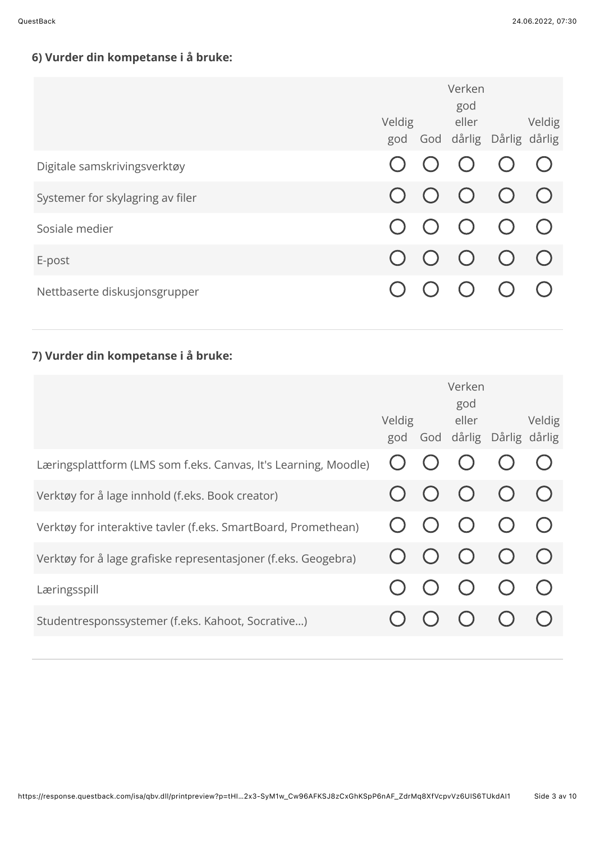# 6) Vurder din kompetanse i å bruke:

|                                  |                        | Verken<br>god<br>Veldig eller<br>god God dårlig Dårlig dårlig | Veldig     |
|----------------------------------|------------------------|---------------------------------------------------------------|------------|
| Digitale samskrivingsverktøy     |                        | $\bigcap$ $\bigcap$                                           |            |
| Systemer for skylagring av filer |                        | $\overline{O}$ $\overline{O}$                                 | $\bigcirc$ |
| Sosiale medier                   | $\left( \quad \right)$ | $\overline{O}$ $\overline{O}$                                 | $\bigcap$  |
| E-post                           |                        | $\overline{O}$ $\overline{O}$                                 | $\bigodot$ |
| Nettbaserte diskusjonsgrupper    |                        |                                                               |            |

# 7) Vurder din kompetanse i å bruke:

|                                                                 |  | Verken<br>god<br>Veldig eller<br>god God dårlig Dårlig dårlig | Veldig     |
|-----------------------------------------------------------------|--|---------------------------------------------------------------|------------|
| Læringsplattform (LMS som f.eks. Canvas, It's Learning, Moodle) |  |                                                               |            |
| Verktøy for å lage innhold (f.eks. Book creator)                |  | $\bigcup$ $\bigcup$ $\bigcup$                                 | $\bigodot$ |
| Verktøy for interaktive tavler (f.eks. SmartBoard, Promethean)  |  | $O$ $O$                                                       | $\bigodot$ |
| Verktøy for å lage grafiske representasjoner (f.eks. Geogebra)  |  | $O$ $O$ $O$                                                   | $\bigcap$  |
| Læringsspill                                                    |  | $\bigcap$                                                     |            |
| Studentresponssystemer (f.eks. Kahoot, Socrative)               |  |                                                               |            |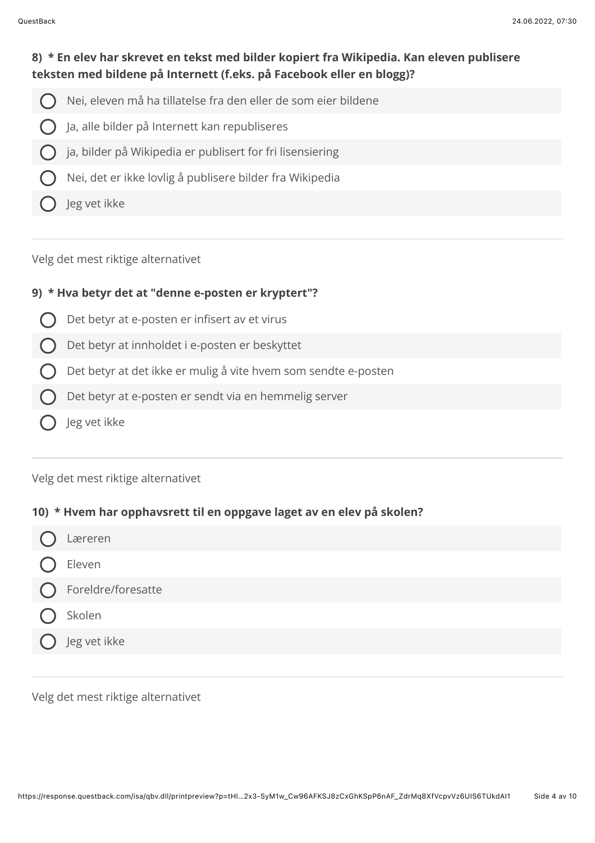## 8) \* En elev har skrevet en tekst med bilder kopiert fra Wikipedia. Kan eleven publisere teksten med bildene på Internett (f.eks. på Facebook eller en blogg)?

- Nei, eleven må ha tillatelse fra den eller de som eier bildene
- Ja, alle bilder på Internett kan republiseres
- ja, bilder på Wikipedia er publisert for fri lisensiering
- Nei, det er ikke lovlig å publisere bilder fra Wikipedia
- leg vet ikke

Velg det mest riktige alternativet

## 9) \* Hva betyr det at "denne e-posten er kryptert"?

- Det betyr at e-posten er infisert av et virus
- Det betyr at innholdet i e-posten er beskyttet
- Det betyr at det ikke er mulig å vite hvem som sendte e-posten
- Det betyr at e-posten er sendt via en hemmelig server
- Jeg vet ikke

#### Velg det mest riktige alternativet

#### 10) \* Hvem har opphavsrett til en oppgave laget av en elev på skolen?

- Læreren Eleven
- Foreldre/foresatte
- Skolen
	- Jeg vet ikke

Velg det mest riktige alternativet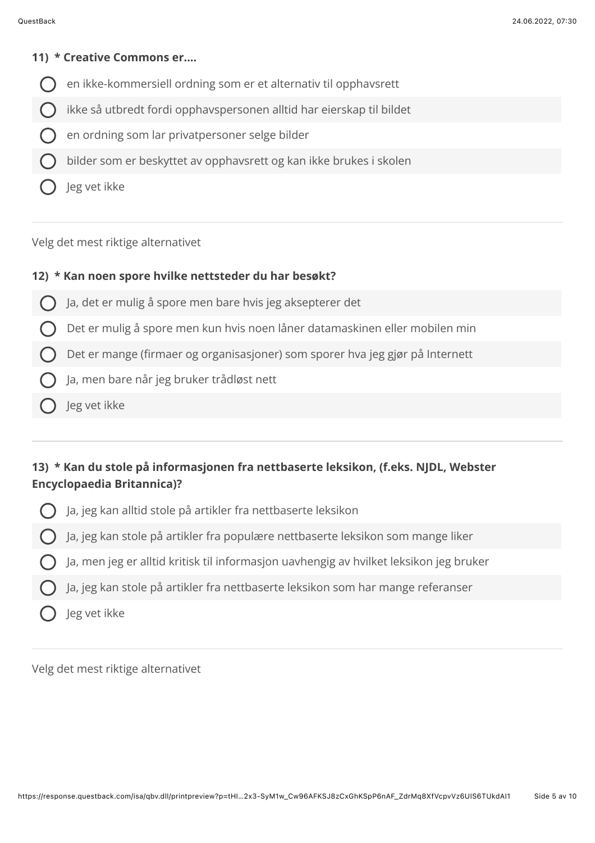#### 11) \* Creative Commons er....

- en ikke-kommersiell ordning som er et alternativ til opphavsrett
- ikke så utbredt fordi opphavspersonen alltid har eierskap til bildet
- en ordning som lar privatpersoner selge bilder
- bilder som er beskyttet av opphavsrett og kan ikke brukes i skolen
- Jeg vet ikke

Velg det mest riktige alternativet

#### 12) \* Kan noen spore hvilke nettsteder du har besøkt?

- Ja, det er mulig å spore men bare hvis jeg aksepterer det
- Det er mulig å spore men kun hvis noen låner datamaskinen eller mobilen min
- Det er mange (firmaer og organisasjoner) som sporer hva jeg gjør på Internett
- Ja, men bare når jeg bruker trådløst nett
- Jeg vet ikke

## 13) \* Kan du stole på informasjonen fra nettbaserte leksikon, (f.eks. NJDL, Webster **Encyclopaedia Britannica)?**

- Ja, jeg kan alltid stole på artikler fra nettbaserte leksikon
- Ja, jeg kan stole på artikler fra populære nettbaserte leksikon som mange liker
- Ja, men jeg er alltid kritisk til informasjon uavhengig av hvilket leksikon jeg bruker
- Ja, jeg kan stole på artikler fra nettbaserte leksikon som har mange referanser
- Jeg vet ikke

Velg det mest riktige alternativet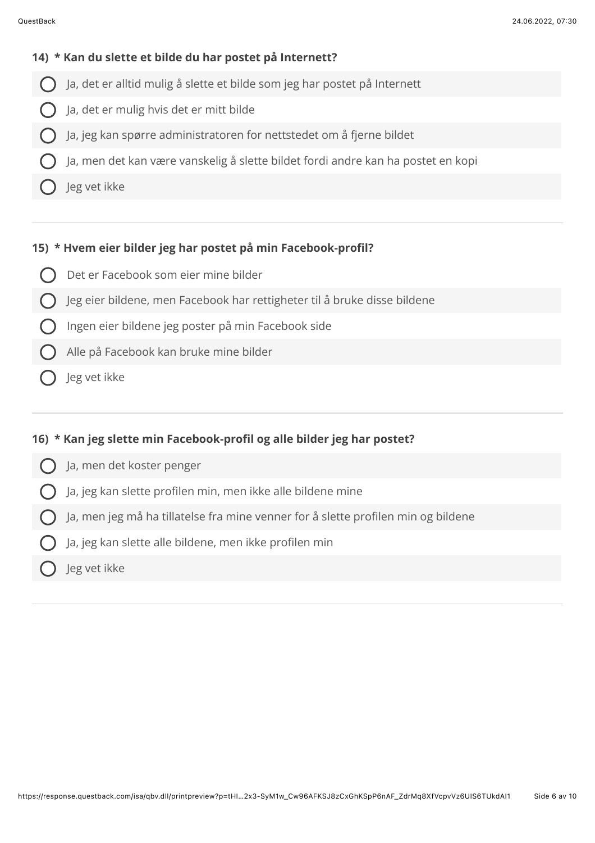#### 14) \* Kan du slette et bilde du har postet på Internett?

- Ja, det er alltid mulig å slette et bilde som jeg har postet på Internett
- Ja, det er mulig hvis det er mitt bilde
- Ja, jeg kan spørre administratoren for nettstedet om å fjerne bildet
- Ja, men det kan være vanskelig å slette bildet fordi andre kan ha postet en kopi
- Jeg vet ikke

#### 15) \* Hvem eier bilder jeg har postet på min Facebook-profil?

- Det er Facebook som eier mine bilder
- Jeg eier bildene, men Facebook har rettigheter til å bruke disse bildene
- Ingen eier bildene jeg poster på min Facebook side
- Alle på Facebook kan bruke mine bilder
- Jeg vet ikke

#### 16) \* Kan jeg slette min Facebook-profil og alle bilder jeg har postet?

- Ja, men det koster penger
- Ja, jeg kan slette profilen min, men ikke alle bildene mine
- Ja, men jeg må ha tillatelse fra mine venner for å slette profilen min og bildene
- Ja, jeg kan slette alle bildene, men ikke profilen min
- Jeg vet ikke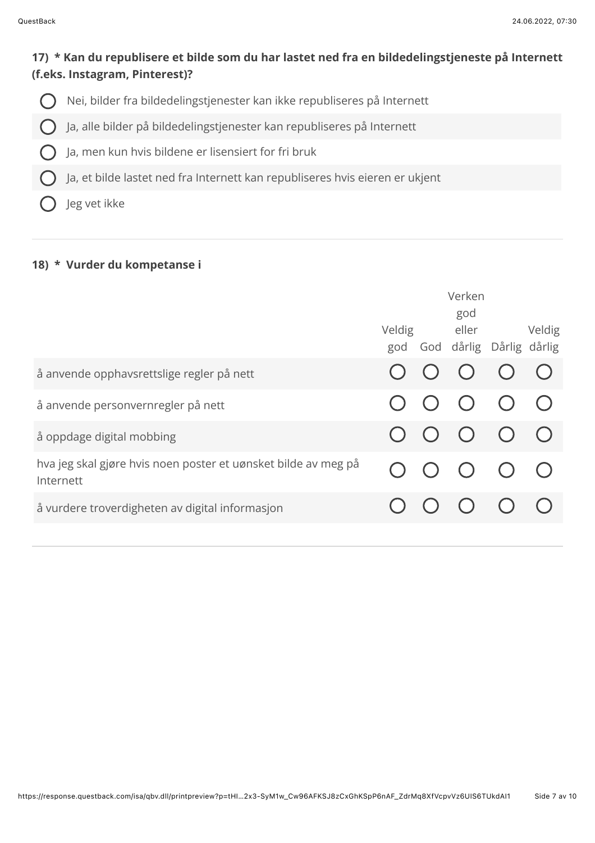## **17) \* Kan du republisere et bilde som du har lastet ned fra en bildedelingstjeneste på Internett (f.eks. Instagram, Pinterest)?**

- Nei, bilder fra bildedelingstjenester kan ikke republiseres på Internett  $\bigcap$
- Ja, alle bilder på bildedelingstjenester kan republiseres på Internett  $\bigcap$
- Ja, men kun hvis bildene er lisensiert for fri bruk
- Ja, et bilde lastet ned fra Internett kan republiseres hvis eieren er ukjent
- leg vet ikke

## 18) \* Vurder du kompetanse i

|                                                                             |  | Verken              |                                                        |            |  |
|-----------------------------------------------------------------------------|--|---------------------|--------------------------------------------------------|------------|--|
|                                                                             |  | god<br>Veldig eller | god God dårlig Dårlig dårlig                           | Veldig     |  |
| å anvende opphavsrettslige regler på nett                                   |  |                     | $\begin{array}{ccc} \circ & \circ & \circ \end{array}$ |            |  |
| å anvende personvernregler på nett                                          |  | $O$ $O$             |                                                        |            |  |
| å oppdage digital mobbing                                                   |  |                     | $\begin{array}{ccc} & O & O & O & O \end{array}$       |            |  |
| hva jeg skal gjøre hvis noen poster et uønsket bilde av meg på<br>Internett |  | $O$ $O$ $O$         |                                                        | $\bigcirc$ |  |
| å vurdere troverdigheten av digital informasjon                             |  |                     |                                                        |            |  |
|                                                                             |  |                     |                                                        |            |  |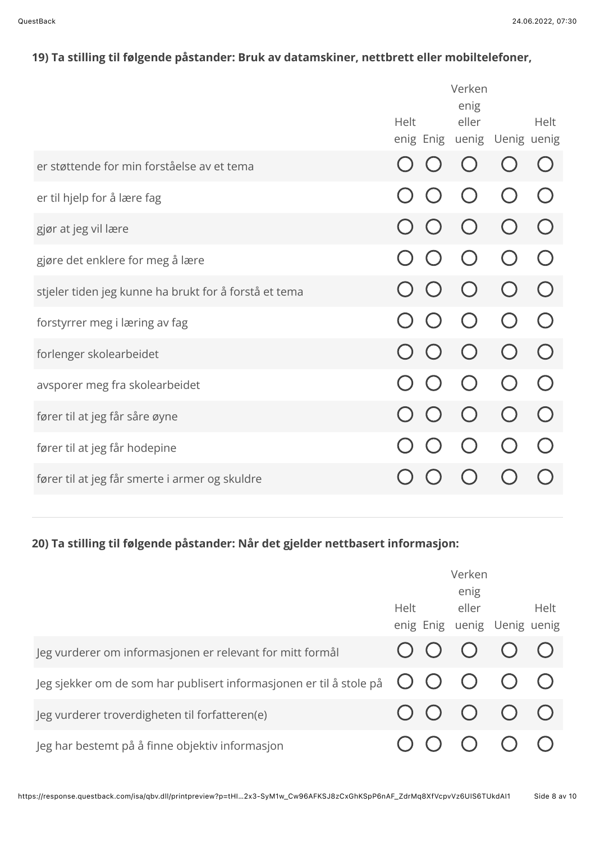# 19) Ta stilling til følgende påstander: Bruk av datamskiner, nettbrett eller mobiltelefoner,

| Helt | enig<br>eller | Helt                        |
|------|---------------|-----------------------------|
|      |               |                             |
|      |               |                             |
|      |               |                             |
|      |               |                             |
|      |               |                             |
|      |               |                             |
|      |               |                             |
|      |               |                             |
|      |               |                             |
|      |               |                             |
|      |               |                             |
|      |               |                             |
|      |               | enig Enig uenig Uenig uenig |

## 20) Ta stilling til følgende påstander: Når det gjelder nettbasert informasjon:

|                                                                     |             | Verken<br>enig                                                       |      |
|---------------------------------------------------------------------|-------------|----------------------------------------------------------------------|------|
|                                                                     | <b>Helt</b> | eller                                                                | Helt |
|                                                                     |             | enig Enig uenig Uenig uenig                                          |      |
| Jeg vurderer om informasjonen er relevant for mitt formål           |             | 00000                                                                |      |
| Jeg sjekker om de som har publisert informasjonen er til å stole på |             | O O O O O                                                            |      |
| Jeg vurderer troverdigheten til forfatteren(e)                      |             | $\begin{array}{ccc} \circ & \circ & \circ & \circ \circ \end{array}$ |      |
| Jeg har bestemt på å finne objektiv informasjon                     |             |                                                                      |      |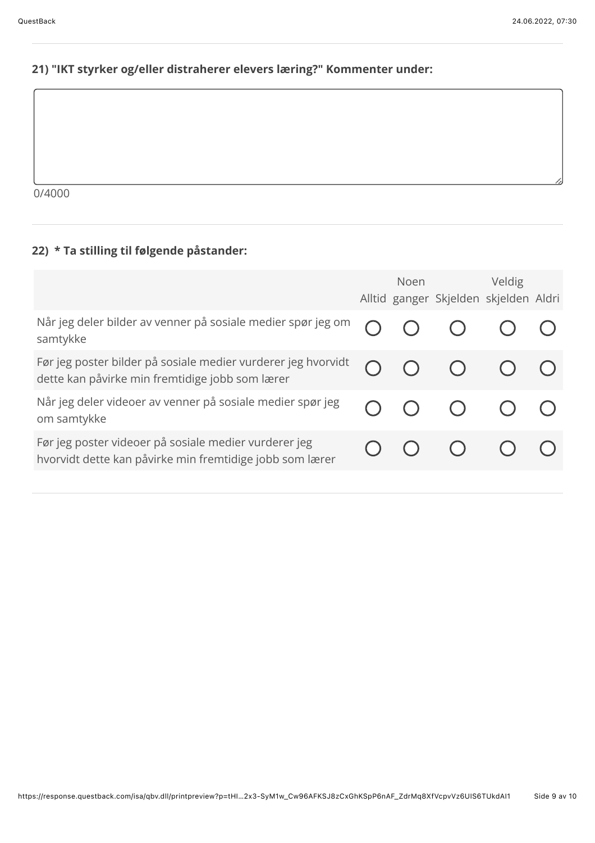## 21) "IKT styrker og/eller distraherer elevers læring?" Kommenter under:

 $0/4000$ 

# 22) \* Ta stilling til følgende påstander:

|                                                                                                                   | Noen and the set of the set of the set of the set of the set of the set of the set of the set of the set of the | Veldig<br>Alltid ganger Skjelden skjelden Aldri |  |
|-------------------------------------------------------------------------------------------------------------------|-----------------------------------------------------------------------------------------------------------------|-------------------------------------------------|--|
| Når jeg deler bilder av venner på sosiale medier spør jeg om<br>samtykke                                          |                                                                                                                 |                                                 |  |
| Før jeg poster bilder på sosiale medier vurderer jeg hvorvidt<br>dette kan påvirke min fremtidige jobb som lærer  |                                                                                                                 |                                                 |  |
| Når jeg deler videoer av venner på sosiale medier spør jeg<br>om samtykke                                         |                                                                                                                 |                                                 |  |
| Før jeg poster videoer på sosiale medier vurderer jeg<br>hvorvidt dette kan påvirke min fremtidige jobb som lærer |                                                                                                                 |                                                 |  |